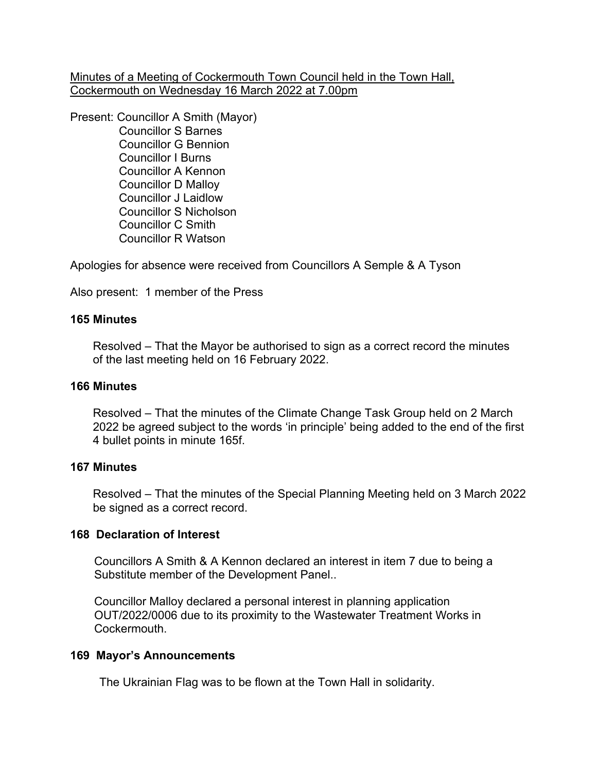Minutes of a Meeting of Cockermouth Town Council held in the Town Hall, Cockermouth on Wednesday 16 March 2022 at 7.00pm

Present: Councillor A Smith (Mayor)

 Councillor S Barnes Councillor G Bennion Councillor I Burns Councillor A Kennon Councillor D Malloy Councillor J Laidlow Councillor S Nicholson Councillor C Smith Councillor R Watson

Apologies for absence were received from Councillors A Semple & A Tyson

Also present: 1 member of the Press

# **165 Minutes**

 Resolved – That the Mayor be authorised to sign as a correct record the minutes of the last meeting held on 16 February 2022.

## **166 Minutes**

 Resolved – That the minutes of the Climate Change Task Group held on 2 March 2022 be agreed subject to the words 'in principle' being added to the end of the first 4 bullet points in minute 165f.

## **167 Minutes**

 Resolved – That the minutes of the Special Planning Meeting held on 3 March 2022 be signed as a correct record.

## **168 Declaration of Interest**

Councillors A Smith & A Kennon declared an interest in item 7 due to being a Substitute member of the Development Panel..

 Councillor Malloy declared a personal interest in planning application OUT/2022/0006 due to its proximity to the Wastewater Treatment Works in Cockermouth.

## **169 Mayor's Announcements**

The Ukrainian Flag was to be flown at the Town Hall in solidarity.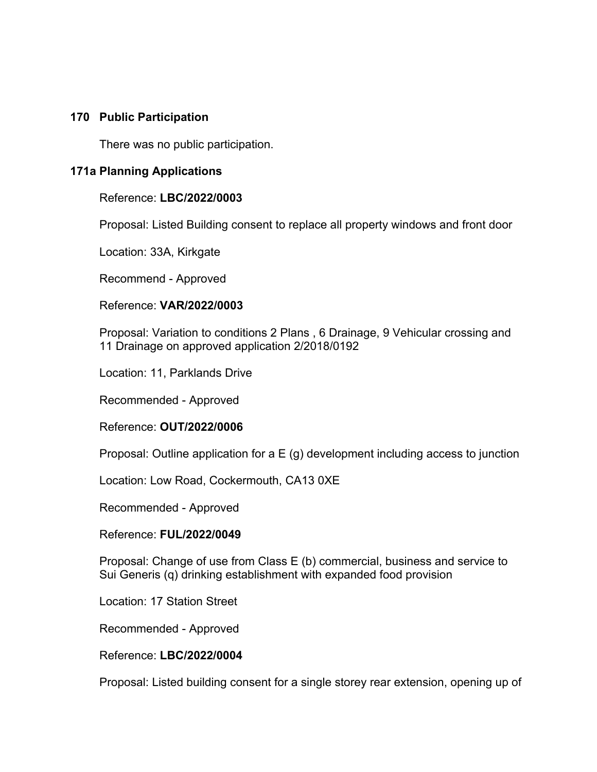### **170 Public Participation**

There was no public participation.

## **171a Planning Applications**

### Reference: **LBC/2022/0003**

Proposal: Listed Building consent to replace all property windows and front door

Location: 33A, Kirkgate

Recommend - Approved

### Reference: **VAR/2022/0003**

 Proposal: Variation to conditions 2 Plans , 6 Drainage, 9 Vehicular crossing and 11 Drainage on approved application 2/2018/0192

Location: 11, Parklands Drive

Recommended - Approved

Reference: **OUT/2022/0006**

Proposal: Outline application for a E (g) development including access to junction

Location: Low Road, Cockermouth, CA13 0XE

Recommended - Approved

Reference: **FUL/2022/0049**

 Proposal: Change of use from Class E (b) commercial, business and service to Sui Generis (q) drinking establishment with expanded food provision

Location: 17 Station Street

Recommended - Approved

Reference: **LBC/2022/0004**

Proposal: Listed building consent for a single storey rear extension, opening up of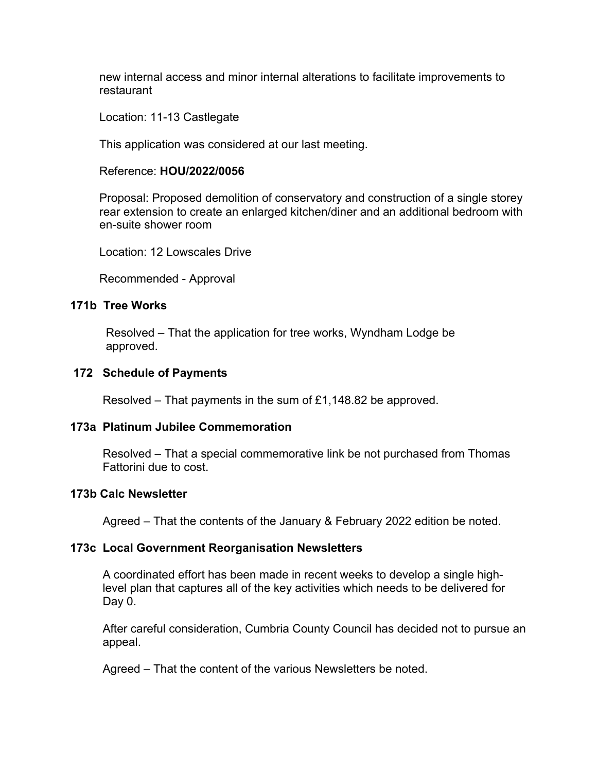new internal access and minor internal alterations to facilitate improvements to restaurant

Location: 11-13 Castlegate

This application was considered at our last meeting.

### Reference: **HOU/2022/0056**

 Proposal: Proposed demolition of conservatory and construction of a single storey rear extension to create an enlarged kitchen/diner and an additional bedroom with en-suite shower room

Location: 12 Lowscales Drive

Recommended - Approval

## **171b Tree Works**

Resolved – That the application for tree works, Wyndham Lodge be approved.

### **172 Schedule of Payments**

Resolved – That payments in the sum of £1,148.82 be approved.

## **173a Platinum Jubilee Commemoration**

Resolved – That a special commemorative link be not purchased from Thomas Fattorini due to cost.

### **173b Calc Newsletter**

Agreed – That the contents of the January & February 2022 edition be noted.

#### **173c Local Government Reorganisation Newsletters**

 A coordinated effort has been made in recent weeks to develop a single high level plan that captures all of the key activities which needs to be delivered for Day 0.

 After careful consideration, Cumbria County Council has decided not to pursue an appeal.

Agreed – That the content of the various Newsletters be noted.